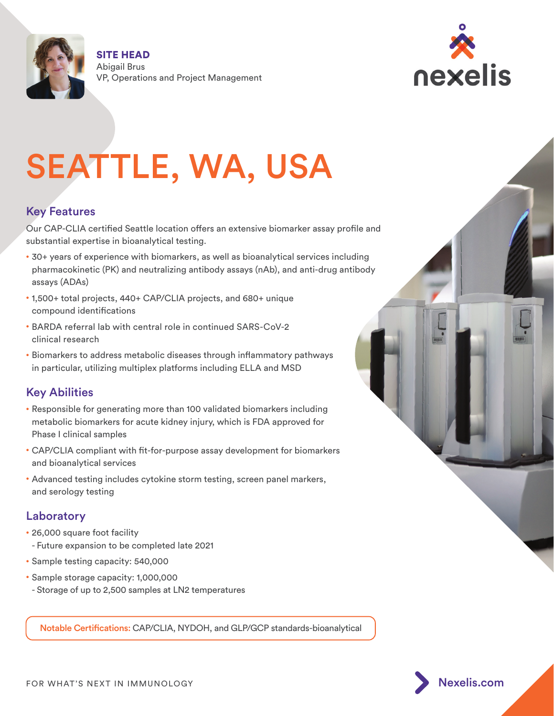

SITE HEAD Abigail Brus VP, Operations and Project Management



# SEATTLE, WA, USA

# Key Features

Our CAP-CLIA certified Seattle location offers an extensive biomarker assay profile and substantial expertise in bioanalytical testing.

- 30+ years of experience with biomarkers, as well as bioanalytical services including pharmacokinetic (PK) and neutralizing antibody assays (nAb), and anti-drug antibody assays (ADAs)
- 1,500+ total projects, 440+ CAP/CLIA projects, and 680+ unique compound identifications
- BARDA referral lab with central role in continued SARS-CoV-2 clinical research
- Biomarkers to address metabolic diseases through inflammatory pathways in particular, utilizing multiplex platforms including ELLA and MSD

# Key Abilities

- Responsible for generating more than 100 validated biomarkers including metabolic biomarkers for acute kidney injury, which is FDA approved for Phase I clinical samples
- CAP/CLIA compliant with fit-for-purpose assay development for biomarkers and bioanalytical services
- Advanced testing includes cytokine storm testing, screen panel markers, and serology testing

## Laboratory

- 26,000 square foot facility - Future expansion to be completed late 2021
- Sample testing capacity: 540,000
- Sample storage capacity: 1,000,000 - Storage of up to 2,500 samples at LN2 temperatures

Notable Certifications: CAP/CLIA, NYDOH, and GLP/GCP standards-bioanalytical